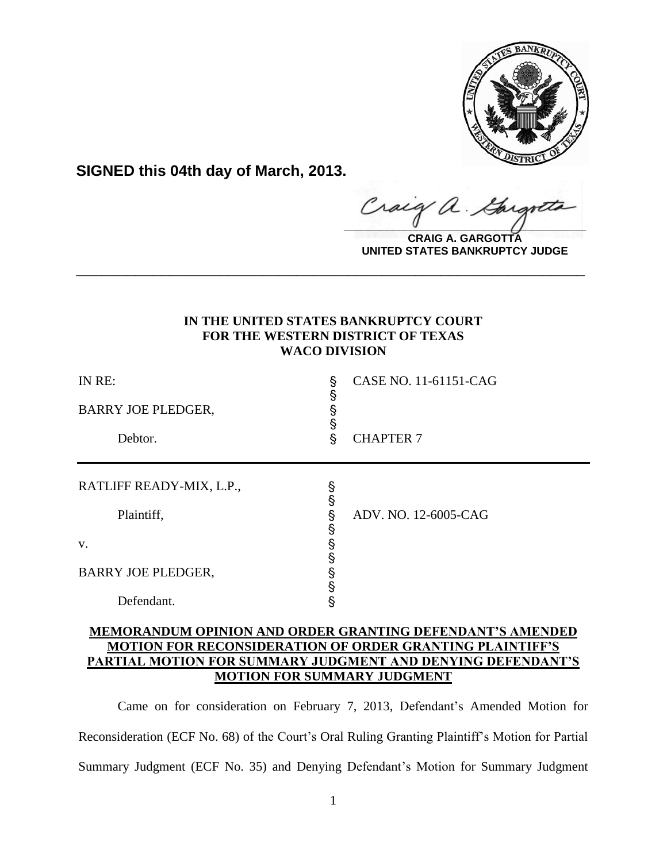

**SIGNED this 04th day of March, 2013.**

raig  $\frac{1}{2}$ 

**CRAIG A. GARGOTTA UNITED STATES BANKRUPTCY JUDGE**

# **IN THE UNITED STATES BANKRUPTCY COURT FOR THE WESTERN DISTRICT OF TEXAS WACO DIVISION**

**\_\_\_\_\_\_\_\_\_\_\_\_\_\_\_\_\_\_\_\_\_\_\_\_\_\_\_\_\_\_\_\_\_\_\_\_\_\_\_\_\_\_\_\_\_\_\_\_\_\_\_\_\_\_\_\_\_\_\_\_**

| IN RE:<br>BARRY JOE PLEDGER,<br>Debtor. | Ş<br>Ş<br>§<br>§<br>Ş | CASE NO. 11-61151-CAG<br><b>CHAPTER 7</b> |
|-----------------------------------------|-----------------------|-------------------------------------------|
| RATLIFF READY-MIX, L.P.,                | S<br>S                |                                           |
| Plaintiff,                              | s<br>S                | ADV. NO. 12-6005-CAG                      |
| V.                                      | s<br>S                |                                           |
| <b>BARRY JOE PLEDGER,</b>               | §<br>§                |                                           |
| Defendant.                              | Ŝ                     |                                           |

# **MEMORANDUM OPINION AND ORDER GRANTING DEFENDANT'S AMENDED MOTION FOR RECONSIDERATION OF ORDER GRANTING PLAINTIFF'S PARTIAL MOTION FOR SUMMARY JUDGMENT AND DENYING DEFENDANT'S MOTION FOR SUMMARY JUDGMENT**

Came on for consideration on February 7, 2013, Defendant's Amended Motion for Reconsideration (ECF No. 68) of the Court's Oral Ruling Granting Plaintiff's Motion for Partial Summary Judgment (ECF No. 35) and Denying Defendant's Motion for Summary Judgment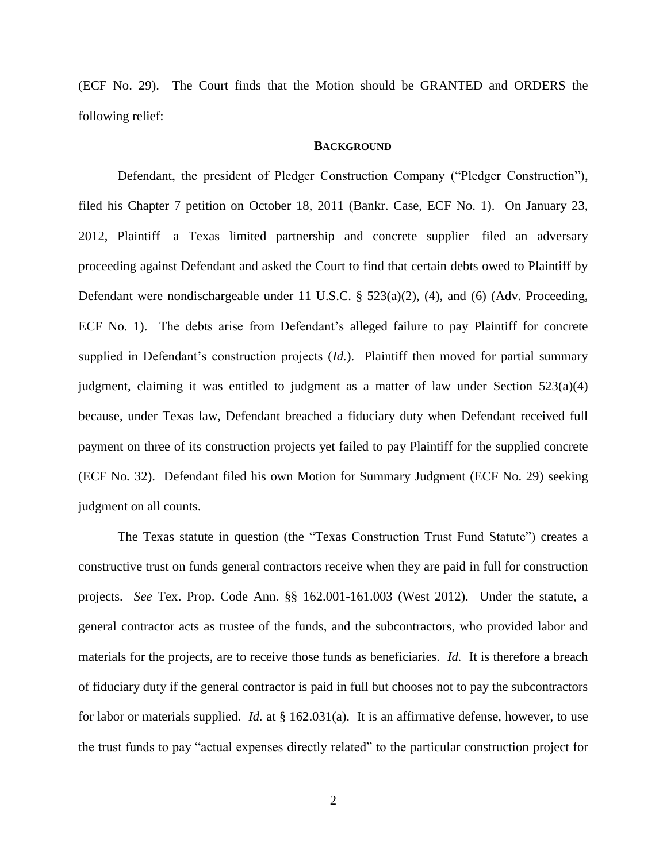(ECF No. 29). The Court finds that the Motion should be GRANTED and ORDERS the following relief:

#### **BACKGROUND**

Defendant, the president of Pledger Construction Company ("Pledger Construction"), filed his Chapter 7 petition on October 18, 2011 (Bankr. Case, ECF No. 1). On January 23, 2012, Plaintiff—a Texas limited partnership and concrete supplier—filed an adversary proceeding against Defendant and asked the Court to find that certain debts owed to Plaintiff by Defendant were nondischargeable under 11 U.S.C. § 523(a)(2), (4), and (6) (Adv. Proceeding, ECF No. 1). The debts arise from Defendant's alleged failure to pay Plaintiff for concrete supplied in Defendant's construction projects (*Id.*). Plaintiff then moved for partial summary judgment, claiming it was entitled to judgment as a matter of law under Section 523(a)(4) because, under Texas law, Defendant breached a fiduciary duty when Defendant received full payment on three of its construction projects yet failed to pay Plaintiff for the supplied concrete (ECF No*.* 32). Defendant filed his own Motion for Summary Judgment (ECF No. 29) seeking judgment on all counts.

The Texas statute in question (the "Texas Construction Trust Fund Statute") creates a constructive trust on funds general contractors receive when they are paid in full for construction projects. *See* Tex. Prop. Code Ann. §§ 162.001-161.003 (West 2012). Under the statute, a general contractor acts as trustee of the funds, and the subcontractors, who provided labor and materials for the projects, are to receive those funds as beneficiaries. *Id.* It is therefore a breach of fiduciary duty if the general contractor is paid in full but chooses not to pay the subcontractors for labor or materials supplied. *Id.* at § 162.031(a). It is an affirmative defense, however, to use the trust funds to pay "actual expenses directly related" to the particular construction project for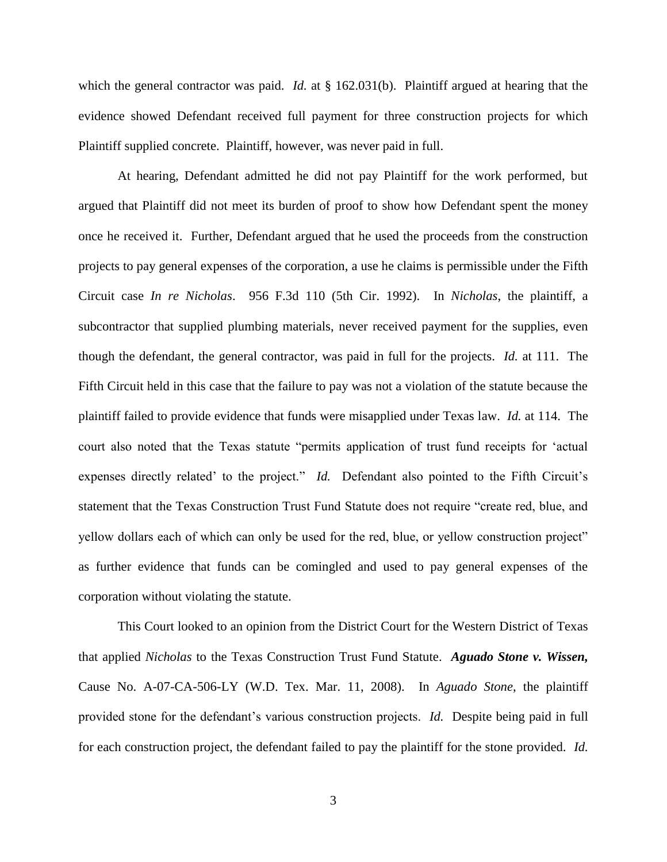which the general contractor was paid. *Id.* at § 162.031(b). Plaintiff argued at hearing that the evidence showed Defendant received full payment for three construction projects for which Plaintiff supplied concrete. Plaintiff, however, was never paid in full.

At hearing, Defendant admitted he did not pay Plaintiff for the work performed, but argued that Plaintiff did not meet its burden of proof to show how Defendant spent the money once he received it. Further, Defendant argued that he used the proceeds from the construction projects to pay general expenses of the corporation, a use he claims is permissible under the Fifth Circuit case *In re Nicholas*. 956 F.3d 110 (5th Cir. 1992). In *Nicholas*, the plaintiff, a subcontractor that supplied plumbing materials, never received payment for the supplies, even though the defendant, the general contractor, was paid in full for the projects. *Id.* at 111. The Fifth Circuit held in this case that the failure to pay was not a violation of the statute because the plaintiff failed to provide evidence that funds were misapplied under Texas law. *Id.* at 114. The court also noted that the Texas statute "permits application of trust fund receipts for 'actual expenses directly related' to the project." *Id.* Defendant also pointed to the Fifth Circuit's statement that the Texas Construction Trust Fund Statute does not require "create red, blue, and yellow dollars each of which can only be used for the red, blue, or yellow construction project" as further evidence that funds can be comingled and used to pay general expenses of the corporation without violating the statute.

This Court looked to an opinion from the District Court for the Western District of Texas that applied *Nicholas* to the Texas Construction Trust Fund Statute. *Aguado Stone v. Wissen,*  Cause No. A-07-CA-506-LY (W.D. Tex. Mar. 11, 2008). In *Aguado Stone*, the plaintiff provided stone for the defendant's various construction projects. *Id.* Despite being paid in full for each construction project, the defendant failed to pay the plaintiff for the stone provided. *Id.*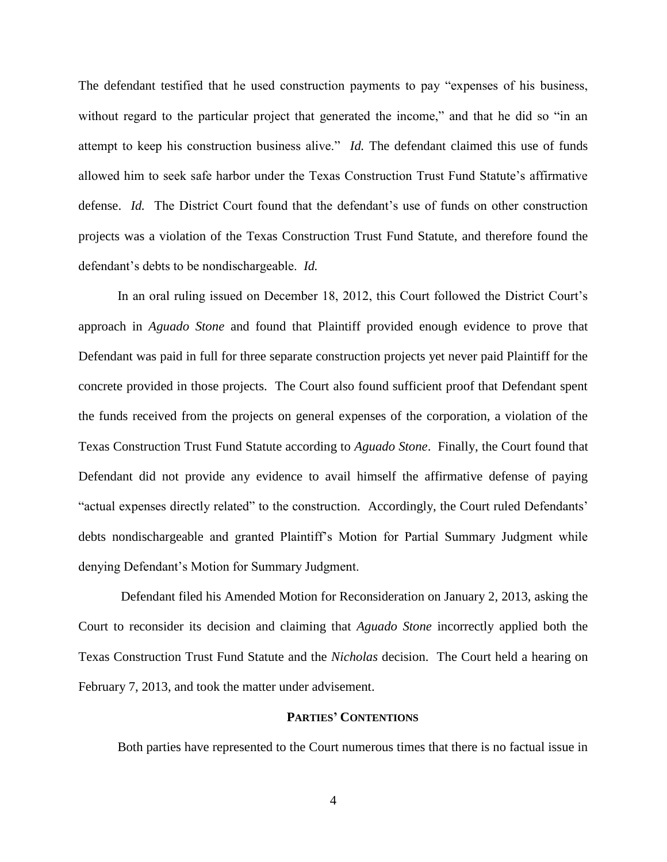The defendant testified that he used construction payments to pay "expenses of his business, without regard to the particular project that generated the income," and that he did so "in an attempt to keep his construction business alive." *Id.* The defendant claimed this use of funds allowed him to seek safe harbor under the Texas Construction Trust Fund Statute's affirmative defense. *Id.* The District Court found that the defendant's use of funds on other construction projects was a violation of the Texas Construction Trust Fund Statute, and therefore found the defendant's debts to be nondischargeable. *Id.*

In an oral ruling issued on December 18, 2012, this Court followed the District Court's approach in *Aguado Stone* and found that Plaintiff provided enough evidence to prove that Defendant was paid in full for three separate construction projects yet never paid Plaintiff for the concrete provided in those projects. The Court also found sufficient proof that Defendant spent the funds received from the projects on general expenses of the corporation, a violation of the Texas Construction Trust Fund Statute according to *Aguado Stone*. Finally, the Court found that Defendant did not provide any evidence to avail himself the affirmative defense of paying "actual expenses directly related" to the construction. Accordingly, the Court ruled Defendants' debts nondischargeable and granted Plaintiff's Motion for Partial Summary Judgment while denying Defendant's Motion for Summary Judgment.

Defendant filed his Amended Motion for Reconsideration on January 2, 2013, asking the Court to reconsider its decision and claiming that *Aguado Stone* incorrectly applied both the Texas Construction Trust Fund Statute and the *Nicholas* decision. The Court held a hearing on February 7, 2013, and took the matter under advisement.

## **PARTIES' CONTENTIONS**

Both parties have represented to the Court numerous times that there is no factual issue in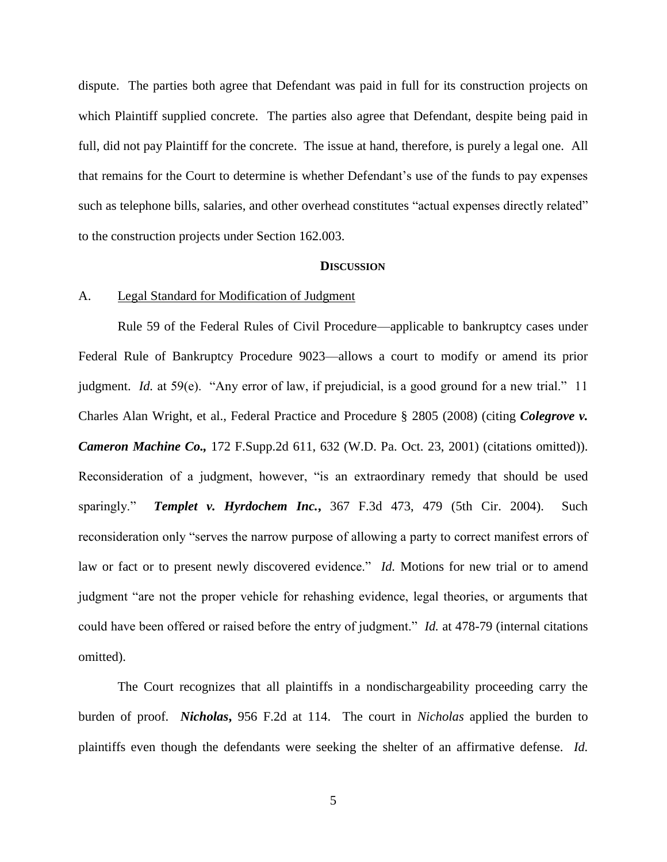dispute. The parties both agree that Defendant was paid in full for its construction projects on which Plaintiff supplied concrete. The parties also agree that Defendant, despite being paid in full, did not pay Plaintiff for the concrete. The issue at hand, therefore, is purely a legal one. All that remains for the Court to determine is whether Defendant's use of the funds to pay expenses such as telephone bills, salaries, and other overhead constitutes "actual expenses directly related" to the construction projects under Section 162.003.

### **DISCUSSION**

## A. Legal Standard for Modification of Judgment

Rule 59 of the Federal Rules of Civil Procedure—applicable to bankruptcy cases under Federal Rule of Bankruptcy Procedure 9023—allows a court to modify or amend its prior judgment. *Id.* at 59(e). "Any error of law, if prejudicial, is a good ground for a new trial." 11 Charles Alan Wright, et al., Federal Practice and Procedure § 2805 (2008) (citing *Colegrove v. Cameron Machine Co.,* 172 F.Supp.2d 611, 632 (W.D. Pa. Oct. 23, 2001) (citations omitted)). Reconsideration of a judgment, however, "is an extraordinary remedy that should be used sparingly." *Templet v. Hyrdochem Inc.***,** 367 F.3d 473, 479 (5th Cir. 2004). Such reconsideration only "serves the narrow purpose of allowing a party to correct manifest errors of law or fact or to present newly discovered evidence." *Id.* Motions for new trial or to amend judgment "are not the proper vehicle for rehashing evidence, legal theories, or arguments that could have been offered or raised before the entry of judgment." *Id.* at 478-79 (internal citations omitted).

The Court recognizes that all plaintiffs in a nondischargeability proceeding carry the burden of proof. *Nicholas***,** 956 F.2d at 114. The court in *Nicholas* applied the burden to plaintiffs even though the defendants were seeking the shelter of an affirmative defense. *Id.*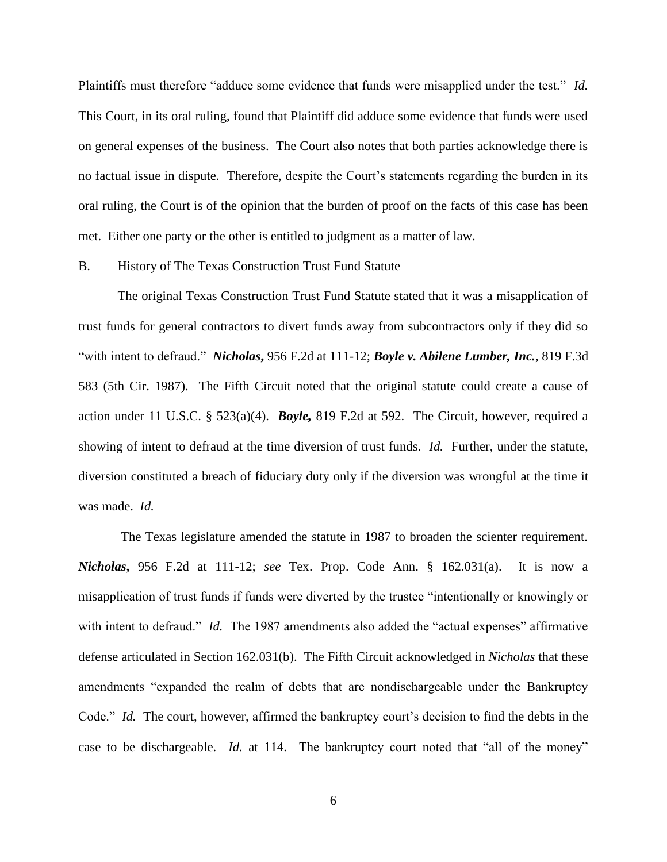Plaintiffs must therefore "adduce some evidence that funds were misapplied under the test." *Id.* This Court, in its oral ruling, found that Plaintiff did adduce some evidence that funds were used on general expenses of the business. The Court also notes that both parties acknowledge there is no factual issue in dispute. Therefore, despite the Court's statements regarding the burden in its oral ruling, the Court is of the opinion that the burden of proof on the facts of this case has been met. Either one party or the other is entitled to judgment as a matter of law.

#### B. History of The Texas Construction Trust Fund Statute

The original Texas Construction Trust Fund Statute stated that it was a misapplication of trust funds for general contractors to divert funds away from subcontractors only if they did so "with intent to defraud." *Nicholas***,** 956 F.2d at 111-12; *Boyle v. Abilene Lumber, Inc.*, 819 F.3d 583 (5th Cir. 1987). The Fifth Circuit noted that the original statute could create a cause of action under 11 U.S.C. § 523(a)(4). *Boyle,* 819 F.2d at 592. The Circuit, however, required a showing of intent to defraud at the time diversion of trust funds. *Id.* Further, under the statute, diversion constituted a breach of fiduciary duty only if the diversion was wrongful at the time it was made. *Id.*

The Texas legislature amended the statute in 1987 to broaden the scienter requirement. *Nicholas***,** 956 F.2d at 111-12; *see* Tex. Prop. Code Ann. § 162.031(a). It is now a misapplication of trust funds if funds were diverted by the trustee "intentionally or knowingly or with intent to defraud." *Id.* The 1987 amendments also added the "actual expenses" affirmative defense articulated in Section 162.031(b). The Fifth Circuit acknowledged in *Nicholas* that these amendments "expanded the realm of debts that are nondischargeable under the Bankruptcy Code." *Id.* The court, however, affirmed the bankruptcy court's decision to find the debts in the case to be dischargeable. *Id.* at 114. The bankruptcy court noted that "all of the money"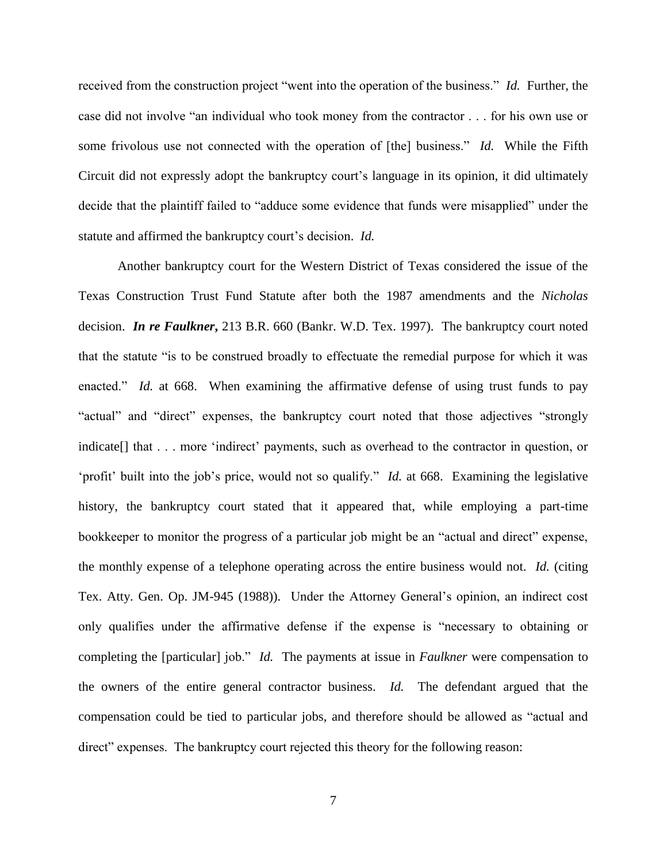received from the construction project "went into the operation of the business." *Id.* Further, the case did not involve "an individual who took money from the contractor . . . for his own use or some frivolous use not connected with the operation of [the] business." *Id.* While the Fifth Circuit did not expressly adopt the bankruptcy court's language in its opinion, it did ultimately decide that the plaintiff failed to "adduce some evidence that funds were misapplied" under the statute and affirmed the bankruptcy court's decision. *Id.*

Another bankruptcy court for the Western District of Texas considered the issue of the Texas Construction Trust Fund Statute after both the 1987 amendments and the *Nicholas*  decision. *In re Faulkner***,** 213 B.R. 660 (Bankr. W.D. Tex. 1997). The bankruptcy court noted that the statute "is to be construed broadly to effectuate the remedial purpose for which it was enacted." *Id.* at 668. When examining the affirmative defense of using trust funds to pay "actual" and "direct" expenses, the bankruptcy court noted that those adjectives "strongly indicate<sup>[]</sup> that . . . more 'indirect' payments, such as overhead to the contractor in question, or 'profit' built into the job's price, would not so qualify." *Id.* at 668. Examining the legislative history, the bankruptcy court stated that it appeared that, while employing a part-time bookkeeper to monitor the progress of a particular job might be an "actual and direct" expense, the monthly expense of a telephone operating across the entire business would not. *Id.* (citing Tex. Atty. Gen. Op. JM-945 (1988)). Under the Attorney General's opinion, an indirect cost only qualifies under the affirmative defense if the expense is "necessary to obtaining or completing the [particular] job." *Id.* The payments at issue in *Faulkner* were compensation to the owners of the entire general contractor business. *Id.* The defendant argued that the compensation could be tied to particular jobs, and therefore should be allowed as "actual and direct" expenses. The bankruptcy court rejected this theory for the following reason: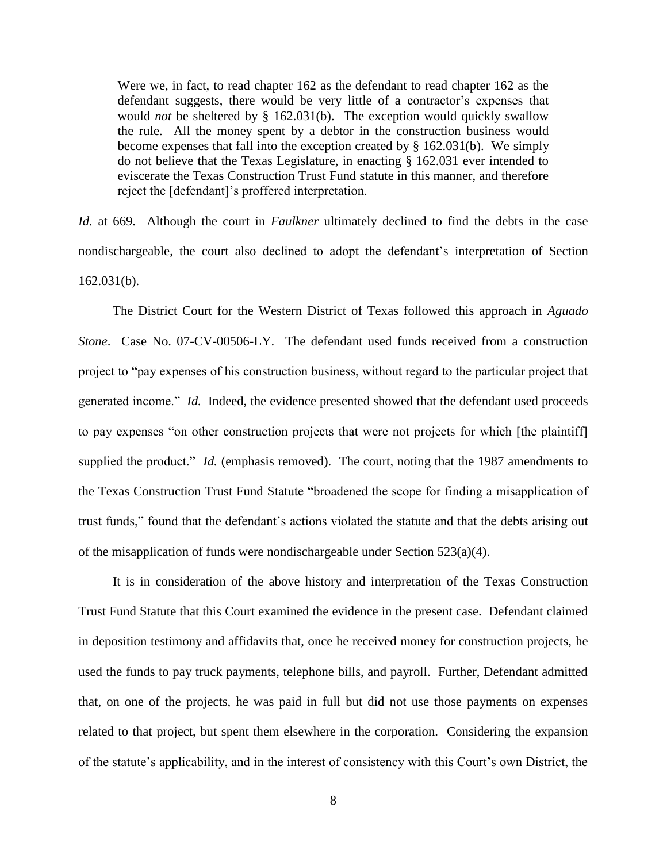Were we, in fact, to read chapter 162 as the defendant to read chapter 162 as the defendant suggests, there would be very little of a contractor's expenses that would *not* be sheltered by § 162.031(b). The exception would quickly swallow the rule. All the money spent by a debtor in the construction business would become expenses that fall into the exception created by § 162.031(b). We simply do not believe that the Texas Legislature, in enacting § 162.031 ever intended to eviscerate the Texas Construction Trust Fund statute in this manner, and therefore reject the [defendant]'s proffered interpretation.

*Id.* at 669. Although the court in *Faulkner* ultimately declined to find the debts in the case nondischargeable, the court also declined to adopt the defendant's interpretation of Section 162.031(b).

The District Court for the Western District of Texas followed this approach in *Aguado Stone*. Case No. 07-CV-00506-LY. The defendant used funds received from a construction project to "pay expenses of his construction business, without regard to the particular project that generated income." *Id.* Indeed, the evidence presented showed that the defendant used proceeds to pay expenses "on other construction projects that were not projects for which [the plaintiff] supplied the product." *Id.* (emphasis removed). The court, noting that the 1987 amendments to the Texas Construction Trust Fund Statute "broadened the scope for finding a misapplication of trust funds," found that the defendant's actions violated the statute and that the debts arising out of the misapplication of funds were nondischargeable under Section  $523(a)(4)$ .

It is in consideration of the above history and interpretation of the Texas Construction Trust Fund Statute that this Court examined the evidence in the present case. Defendant claimed in deposition testimony and affidavits that, once he received money for construction projects, he used the funds to pay truck payments, telephone bills, and payroll. Further, Defendant admitted that, on one of the projects, he was paid in full but did not use those payments on expenses related to that project, but spent them elsewhere in the corporation. Considering the expansion of the statute's applicability, and in the interest of consistency with this Court's own District, the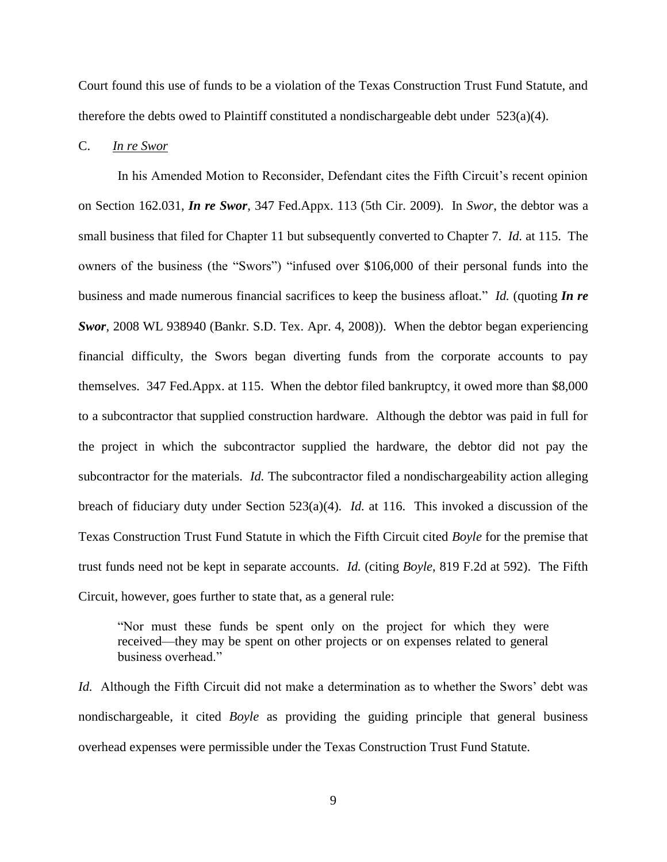Court found this use of funds to be a violation of the Texas Construction Trust Fund Statute, and therefore the debts owed to Plaintiff constituted a nondischargeable debt under  $523(a)(4)$ .

### C. *In re Swor*

In his Amended Motion to Reconsider, Defendant cites the Fifth Circuit's recent opinion on Section 162.031, *In re Swor*, 347 Fed.Appx. 113 (5th Cir. 2009). In *Swor*, the debtor was a small business that filed for Chapter 11 but subsequently converted to Chapter 7. *Id.* at 115. The owners of the business (the "Swors") "infused over \$106,000 of their personal funds into the business and made numerous financial sacrifices to keep the business afloat." *Id.* (quoting *In re Swor*, 2008 WL 938940 (Bankr. S.D. Tex. Apr. 4, 2008)). When the debtor began experiencing financial difficulty, the Swors began diverting funds from the corporate accounts to pay themselves. 347 Fed.Appx. at 115. When the debtor filed bankruptcy, it owed more than \$8,000 to a subcontractor that supplied construction hardware. Although the debtor was paid in full for the project in which the subcontractor supplied the hardware, the debtor did not pay the subcontractor for the materials. *Id.* The subcontractor filed a nondischargeability action alleging breach of fiduciary duty under Section 523(a)(4). *Id.* at 116. This invoked a discussion of the Texas Construction Trust Fund Statute in which the Fifth Circuit cited *Boyle* for the premise that trust funds need not be kept in separate accounts. *Id.* (citing *Boyle*, 819 F.2d at 592). The Fifth Circuit, however, goes further to state that, as a general rule:

"Nor must these funds be spent only on the project for which they were received—they may be spent on other projects or on expenses related to general business overhead."

*Id.* Although the Fifth Circuit did not make a determination as to whether the Swors' debt was nondischargeable, it cited *Boyle* as providing the guiding principle that general business overhead expenses were permissible under the Texas Construction Trust Fund Statute.

9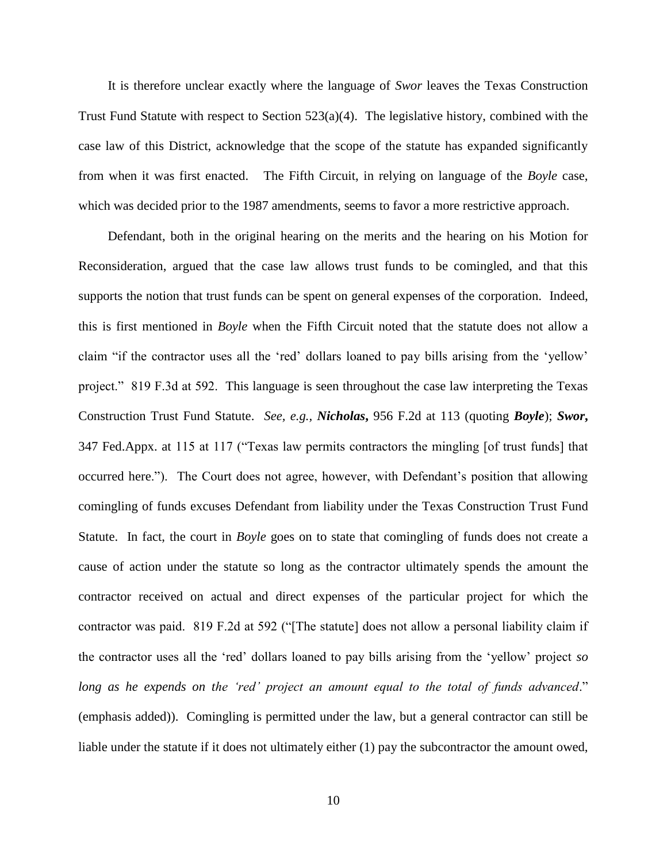It is therefore unclear exactly where the language of *Swor* leaves the Texas Construction Trust Fund Statute with respect to Section 523(a)(4). The legislative history, combined with the case law of this District, acknowledge that the scope of the statute has expanded significantly from when it was first enacted. The Fifth Circuit, in relying on language of the *Boyle* case, which was decided prior to the 1987 amendments, seems to favor a more restrictive approach.

Defendant, both in the original hearing on the merits and the hearing on his Motion for Reconsideration, argued that the case law allows trust funds to be comingled, and that this supports the notion that trust funds can be spent on general expenses of the corporation. Indeed, this is first mentioned in *Boyle* when the Fifth Circuit noted that the statute does not allow a claim "if the contractor uses all the 'red' dollars loaned to pay bills arising from the 'yellow' project." 819 F.3d at 592. This language is seen throughout the case law interpreting the Texas Construction Trust Fund Statute. *See, e.g., Nicholas***,** 956 F.2d at 113 (quoting *Boyle*); *Swor***,**  347 Fed.Appx. at 115 at 117 ("Texas law permits contractors the mingling [of trust funds] that occurred here."). The Court does not agree, however, with Defendant's position that allowing comingling of funds excuses Defendant from liability under the Texas Construction Trust Fund Statute. In fact, the court in *Boyle* goes on to state that comingling of funds does not create a cause of action under the statute so long as the contractor ultimately spends the amount the contractor received on actual and direct expenses of the particular project for which the contractor was paid. 819 F.2d at 592 ("[The statute] does not allow a personal liability claim if the contractor uses all the 'red' dollars loaned to pay bills arising from the 'yellow' project *so long as he expends on the 'red' project an amount equal to the total of funds advanced*." (emphasis added)). Comingling is permitted under the law, but a general contractor can still be liable under the statute if it does not ultimately either (1) pay the subcontractor the amount owed,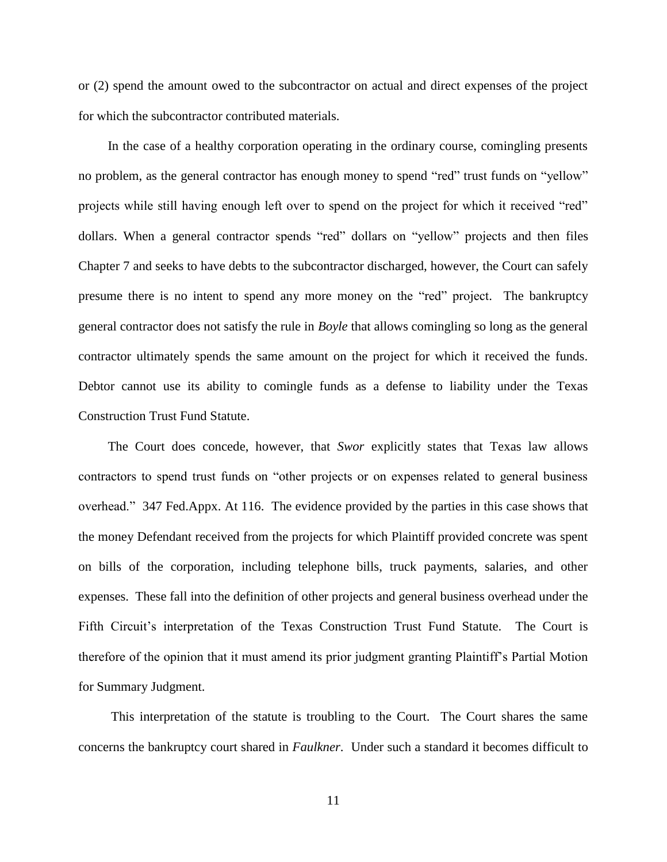or (2) spend the amount owed to the subcontractor on actual and direct expenses of the project for which the subcontractor contributed materials.

In the case of a healthy corporation operating in the ordinary course, comingling presents no problem, as the general contractor has enough money to spend "red" trust funds on "yellow" projects while still having enough left over to spend on the project for which it received "red" dollars. When a general contractor spends "red" dollars on "yellow" projects and then files Chapter 7 and seeks to have debts to the subcontractor discharged, however, the Court can safely presume there is no intent to spend any more money on the "red" project. The bankruptcy general contractor does not satisfy the rule in *Boyle* that allows comingling so long as the general contractor ultimately spends the same amount on the project for which it received the funds. Debtor cannot use its ability to comingle funds as a defense to liability under the Texas Construction Trust Fund Statute.

The Court does concede, however, that *Swor* explicitly states that Texas law allows contractors to spend trust funds on "other projects or on expenses related to general business overhead." 347 Fed.Appx. At 116. The evidence provided by the parties in this case shows that the money Defendant received from the projects for which Plaintiff provided concrete was spent on bills of the corporation, including telephone bills, truck payments, salaries, and other expenses. These fall into the definition of other projects and general business overhead under the Fifth Circuit's interpretation of the Texas Construction Trust Fund Statute. The Court is therefore of the opinion that it must amend its prior judgment granting Plaintiff's Partial Motion for Summary Judgment.

This interpretation of the statute is troubling to the Court. The Court shares the same concerns the bankruptcy court shared in *Faulkner*. Under such a standard it becomes difficult to

11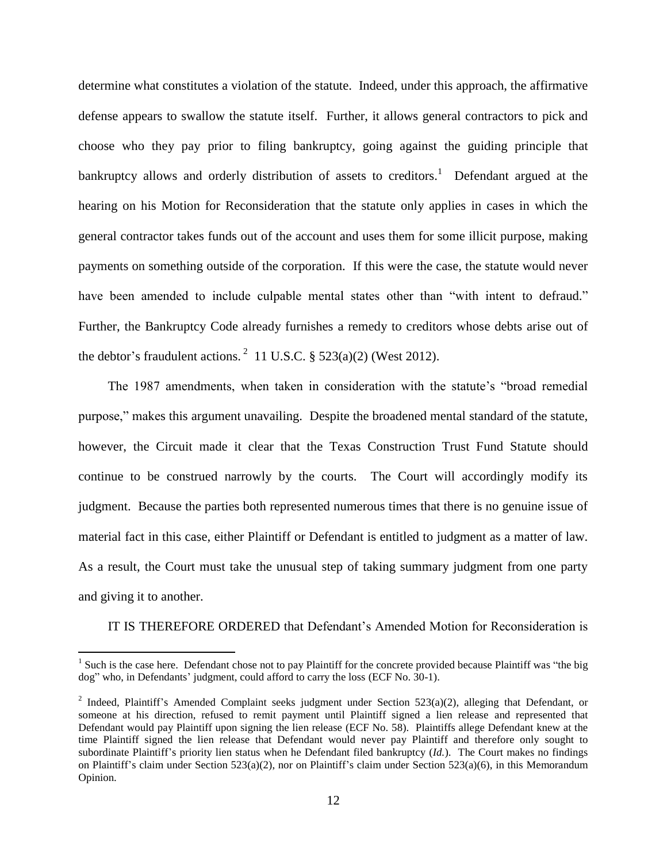determine what constitutes a violation of the statute. Indeed, under this approach, the affirmative defense appears to swallow the statute itself. Further, it allows general contractors to pick and choose who they pay prior to filing bankruptcy, going against the guiding principle that bankruptcy allows and orderly distribution of assets to creditors.<sup>1</sup> Defendant argued at the hearing on his Motion for Reconsideration that the statute only applies in cases in which the general contractor takes funds out of the account and uses them for some illicit purpose, making payments on something outside of the corporation. If this were the case, the statute would never have been amended to include culpable mental states other than "with intent to defraud." Further, the Bankruptcy Code already furnishes a remedy to creditors whose debts arise out of the debtor's fraudulent actions.<sup>2</sup> 11 U.S.C. § 523(a)(2) (West 2012).

The 1987 amendments, when taken in consideration with the statute's "broad remedial purpose," makes this argument unavailing. Despite the broadened mental standard of the statute, however, the Circuit made it clear that the Texas Construction Trust Fund Statute should continue to be construed narrowly by the courts. The Court will accordingly modify its judgment. Because the parties both represented numerous times that there is no genuine issue of material fact in this case, either Plaintiff or Defendant is entitled to judgment as a matter of law. As a result, the Court must take the unusual step of taking summary judgment from one party and giving it to another.

IT IS THEREFORE ORDERED that Defendant's Amended Motion for Reconsideration is

 $\overline{a}$ 

<sup>&</sup>lt;sup>1</sup> Such is the case here. Defendant chose not to pay Plaintiff for the concrete provided because Plaintiff was "the big dog" who, in Defendants' judgment, could afford to carry the loss (ECF No. 30-1).

<sup>&</sup>lt;sup>2</sup> Indeed, Plaintiff's Amended Complaint seeks judgment under Section 523(a)(2), alleging that Defendant, or someone at his direction, refused to remit payment until Plaintiff signed a lien release and represented that Defendant would pay Plaintiff upon signing the lien release (ECF No. 58). Plaintiffs allege Defendant knew at the time Plaintiff signed the lien release that Defendant would never pay Plaintiff and therefore only sought to subordinate Plaintiff's priority lien status when he Defendant filed bankruptcy (*Id.*). The Court makes no findings on Plaintiff's claim under Section 523(a)(2), nor on Plaintiff's claim under Section 523(a)(6), in this Memorandum Opinion.